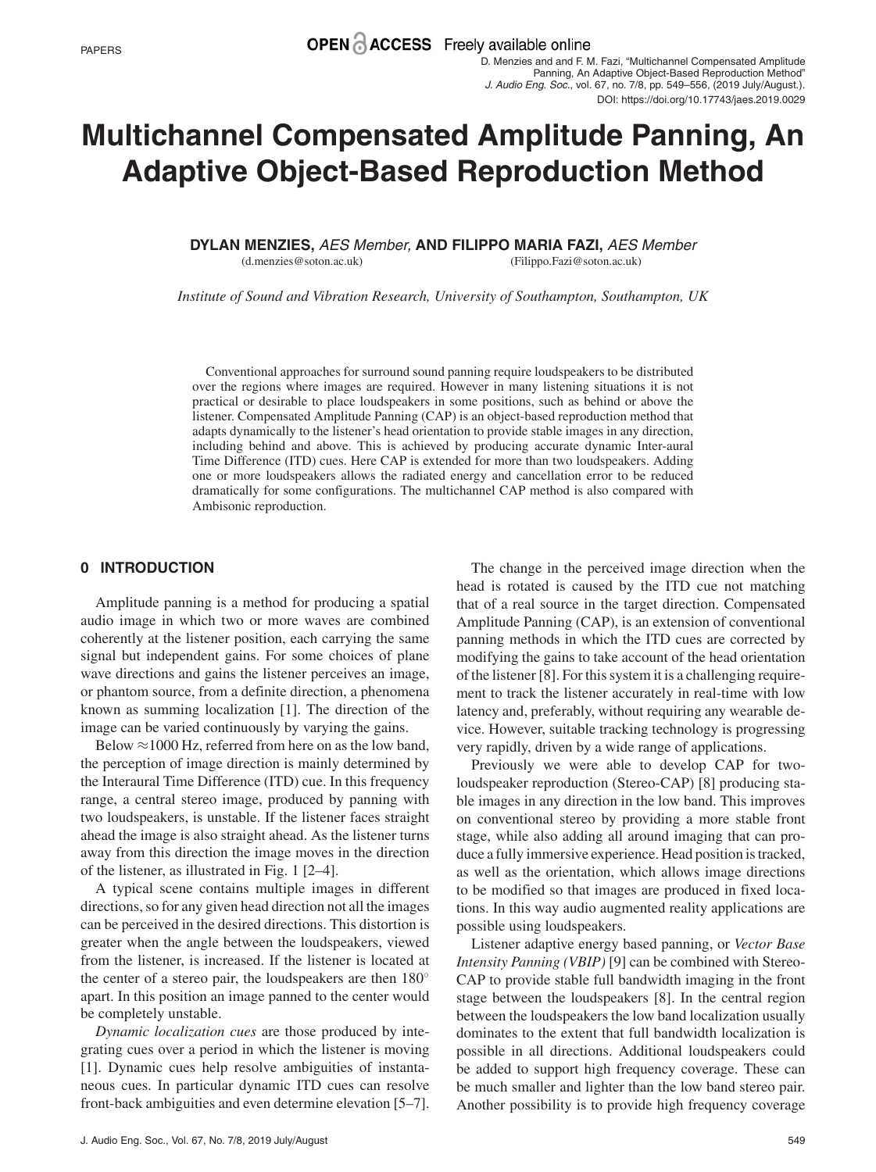D. Menzies and and F. M. Fazi, "Multichannel Compensated Amplitude Panning, An Adaptive Object-Based Reproduction Method" J. Audio Eng. Soc., vol. 67, no. 7/8, pp. 549–556, (2019 July/August.). DOI: https://doi.org/10.17743/jaes.2019.0029

# **Multichannel Compensated Amplitude Panning, An Adaptive Object-Based Reproduction Method**

**DYLAN MENZIES,** AES Member , **AND FILIPPO MARIA FAZI,** AES Member (Filippo.Fazi@soton.ac.uk)

(d.menzies@soton.ac.uk)

*Institute of Sound and Vibration Research, University of Southampton, Southampton, UK*

Conventional approaches for surround sound panning require loudspeakers to be distributed over the regions where images are required. However in many listening situations it is not practical or desirable to place loudspeakers in some positions, such as behind or above the listener. Compensated Amplitude Panning (CAP) is an object-based reproduction method that adapts dynamically to the listener's head orientation to provide stable images in any direction, including behind and above. This is achieved by producing accurate dynamic Inter-aural Time Difference (ITD) cues. Here CAP is extended for more than two loudspeakers. Adding one or more loudspeakers allows the radiated energy and cancellation error to be reduced dramatically for some configurations. The multichannel CAP method is also compared with Ambisonic reproduction.

## **0 INTRODUCTION**

Amplitude panning is a method for producing a spatial audio image in which two or more waves are combined coherently at the listener position, each carrying the same signal but independent gains. For some choices of plane wave directions and gains the listener perceives an image, or phantom source, from a definite direction, a phenomena known as summing localization [1]. The direction of the image can be varied continuously by varying the gains.

Below  $\approx$ 1000 Hz, referred from here on as the low band, the perception of image direction is mainly determined by the Interaural Time Difference (ITD) cue. In this frequency range, a central stereo image, produced by panning with two loudspeakers, is unstable. If the listener faces straight ahead the image is also straight ahead. As the listener turns away from this direction the image moves in the direction of the listener, as illustrated in Fig. 1 [2–4].

A typical scene contains multiple images in different directions, so for any given head direction not all the images can be perceived in the desired directions. This distortion is greater when the angle between the loudspeakers, viewed from the listener, is increased. If the listener is located at the center of a stereo pair, the loudspeakers are then 180<sup>°</sup> apart. In this position an image panned to the center would be completely unstable.

*Dynamic localization cues* are those produced by integrating cues over a period in which the listener is moving [1]. Dynamic cues help resolve ambiguities of instantaneous cues. In particular dynamic ITD cues can resolve front-back ambiguities and even determine elevation [5–7].

J. Audio Eng. Soc., Vol. 67, No. 7/8, 2019 July/August 549

The change in the perceived image direction when the head is rotated is caused by the ITD cue not matching that of a real source in the target direction. Compensated Amplitude Panning (CAP), is an extension of conventional panning methods in which the ITD cues are corrected by modifying the gains to take account of the head orientation of the listener [8]. For this system it is a challenging requirement to track the listener accurately in real-time with low latency and, preferably, without requiring any wearable device. However, suitable tracking technology is progressing very rapidly, driven by a wide range of applications.

Previously we were able to develop CAP for twoloudspeaker reproduction (Stereo-CAP) [8] producing stable images in any direction in the low band. This improves on conventional stereo by providing a more stable front stage, while also adding all around imaging that can produce a fully immersive experience. Head position is tracked, as well as the orientation, which allows image directions to be modified so that images are produced in fixed locations. In this way audio augmented reality applications are possible using loudspeakers.

Listener adaptive energy based panning, or *Vector Base Intensity Panning (VBIP)* [9] can be combined with Stereo-CAP to provide stable full bandwidth imaging in the front stage between the loudspeakers [8]. In the central region between the loudspeakers the low band localization usually dominates to the extent that full bandwidth localization is possible in all directions. Additional loudspeakers could be added to support high frequency coverage. These can be much smaller and lighter than the low band stereo pair. Another possibility is to provide high frequency coverage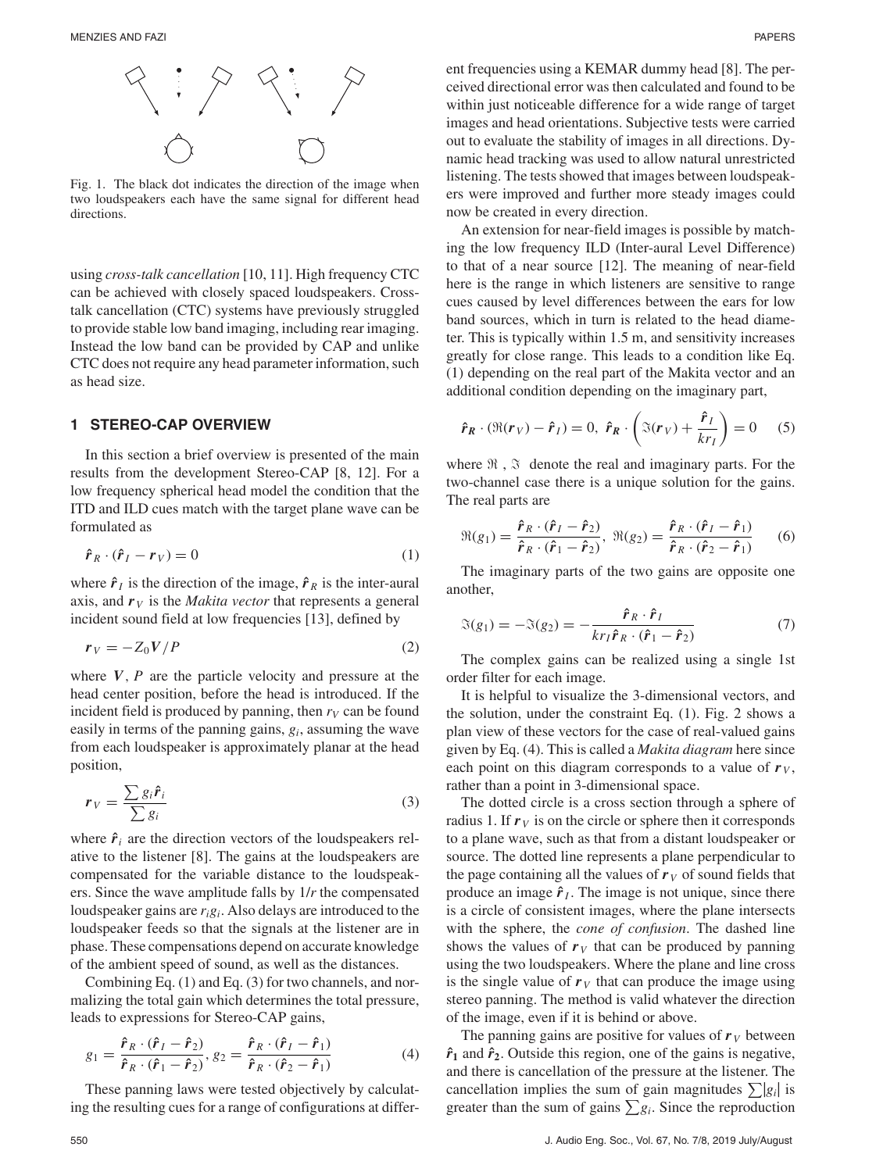

Fig. 1. The black dot indicates the direction of the image when two loudspeakers each have the same signal for different head directions.

using *cross-talk cancellation* [10, 11]. High frequency CTC can be achieved with closely spaced loudspeakers. Crosstalk cancellation (CTC) systems have previously struggled to provide stable low band imaging, including rear imaging. Instead the low band can be provided by CAP and unlike CTC does not require any head parameter information, such as head size.

#### **1 STEREO-CAP OVERVIEW**

In this section a brief overview is presented of the main results from the development Stereo-CAP [8, 12]. For a low frequency spherical head model the condition that the ITD and ILD cues match with the target plane wave can be formulated as

$$
\hat{\boldsymbol{r}}_R \cdot (\hat{\boldsymbol{r}}_I - \boldsymbol{r}_V) = 0 \tag{1}
$$

where  $\hat{\mathbf{r}}_I$  is the direction of the image,  $\hat{\mathbf{r}}_R$  is the inter-aural axis, and  $r_V$  is the *Makita vector* that represents a general incident sound field at low frequencies [13], defined by

$$
r_V = -Z_0 V/P \tag{2}
$$

where  $V$ ,  $P$  are the particle velocity and pressure at the head center position, before the head is introduced. If the incident field is produced by panning, then  $r_V$  can be found easily in terms of the panning gains, *gi*, assuming the wave from each loudspeaker is approximately planar at the head position,

$$
\boldsymbol{r}_V = \frac{\sum g_i \hat{\boldsymbol{r}}_i}{\sum g_i} \tag{3}
$$

where  $\hat{r}_i$  are the direction vectors of the loudspeakers relative to the listener [8]. The gains at the loudspeakers are compensated for the variable distance to the loudspeakers. Since the wave amplitude falls by 1/*r* the compensated loudspeaker gains are *rigi*. Also delays are introduced to the loudspeaker feeds so that the signals at the listener are in phase. These compensations depend on accurate knowledge of the ambient speed of sound, as well as the distances.

Combining Eq. (1) and Eq. (3) for two channels, and normalizing the total gain which determines the total pressure, leads to expressions for Stereo-CAP gains,

$$
g_1 = \frac{\hat{\mathbf{r}}_R \cdot (\hat{\mathbf{r}}_I - \hat{\mathbf{r}}_2)}{\hat{\mathbf{r}}_R \cdot (\hat{\mathbf{r}}_1 - \hat{\mathbf{r}}_2)}, g_2 = \frac{\hat{\mathbf{r}}_R \cdot (\hat{\mathbf{r}}_I - \hat{\mathbf{r}}_1)}{\hat{\mathbf{r}}_R \cdot (\hat{\mathbf{r}}_2 - \hat{\mathbf{r}}_1)}
$$
(4)

These panning laws were tested objectively by calculating the resulting cues for a range of configurations at differ-

ent frequencies using a KEMAR dummy head [8]. The perceived directional error was then calculated and found to be within just noticeable difference for a wide range of target images and head orientations. Subjective tests were carried out to evaluate the stability of images in all directions. Dynamic head tracking was used to allow natural unrestricted listening. The tests showed that images between loudspeakers were improved and further more steady images could now be created in every direction.

An extension for near-field images is possible by matching the low frequency ILD (Inter-aural Level Difference) to that of a near source [12]. The meaning of near-field here is the range in which listeners are sensitive to range cues caused by level differences between the ears for low band sources, which in turn is related to the head diameter. This is typically within 1.5 m, and sensitivity increases greatly for close range. This leads to a condition like Eq. (1) depending on the real part of the Makita vector and an additional condition depending on the imaginary part,

$$
\hat{\mathbf{r}}_{R} \cdot (\Re(\mathbf{r}_{V}) - \hat{\mathbf{r}}_{I}) = 0, \ \hat{\mathbf{r}}_{R} \cdot \left( \Im(\mathbf{r}_{V}) + \frac{\hat{\mathbf{r}}_{I}}{kr_{I}} \right) = 0 \quad (5)
$$

where  $\Re$ ,  $\Im$  denote the real and imaginary parts. For the two-channel case there is a unique solution for the gains. The real parts are

$$
\mathfrak{R}(g_1) = \frac{\hat{\mathbf{r}}_R \cdot (\hat{\mathbf{r}}_I - \hat{\mathbf{r}}_2)}{\hat{\mathbf{r}}_R \cdot (\hat{\mathbf{r}}_1 - \hat{\mathbf{r}}_2)}, \ \mathfrak{R}(g_2) = \frac{\hat{\mathbf{r}}_R \cdot (\hat{\mathbf{r}}_I - \hat{\mathbf{r}}_1)}{\hat{\mathbf{r}}_R \cdot (\hat{\mathbf{r}}_2 - \hat{\mathbf{r}}_1)} \tag{6}
$$

The imaginary parts of the two gains are opposite one another,

$$
\mathfrak{I}(g_1) = -\mathfrak{I}(g_2) = -\frac{\hat{\mathbf{r}}_R \cdot \hat{\mathbf{r}}_I}{kr_I \hat{\mathbf{r}}_R \cdot (\hat{\mathbf{r}}_1 - \hat{\mathbf{r}}_2)}\tag{7}
$$

The complex gains can be realized using a single 1st order filter for each image.

It is helpful to visualize the 3-dimensional vectors, and the solution, under the constraint Eq. (1). Fig. 2 shows a plan view of these vectors for the case of real-valued gains given by Eq. (4). This is called a *Makita diagram* here since each point on this diagram corresponds to a value of  $r_V$ , rather than a point in 3-dimensional space.

The dotted circle is a cross section through a sphere of radius 1. If  $r_V$  is on the circle or sphere then it corresponds to a plane wave, such as that from a distant loudspeaker or source. The dotted line represents a plane perpendicular to the page containing all the values of  $r_V$  of sound fields that produce an image  $\hat{r}_I$ . The image is not unique, since there is a circle of consistent images, where the plane intersects with the sphere, the *cone of confusion*. The dashed line shows the values of  $r_V$  that can be produced by panning using the two loudspeakers. Where the plane and line cross is the single value of  $r_V$  that can produce the image using stereo panning. The method is valid whatever the direction of the image, even if it is behind or above.

The panning gains are positive for values of  $r<sub>V</sub>$  between  $\hat{r}_1$  and  $\hat{r}_2$ . Outside this region, one of the gains is negative, and there is cancellation of the pressure at the listener. The cancellation implies the sum of gain magnitudes  $\sum |g_i|$  is greater than the sum of gains  $\sum g_i$ . Since the reproduction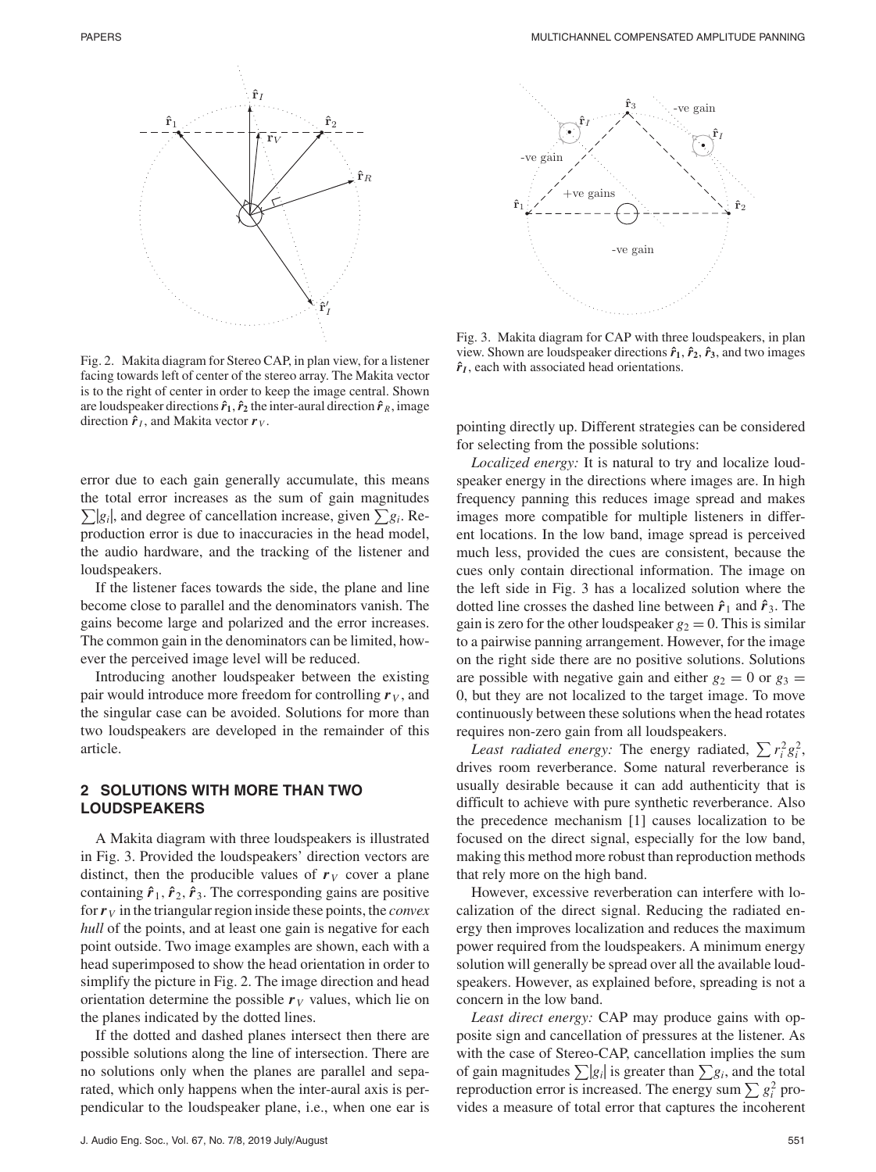

Fig. 2. Makita diagram for Stereo CAP, in plan view, for a listener facing towards left of center of the stereo array. The Makita vector is to the right of center in order to keep the image central. Shown are loudspeaker directions  $\hat{r}_1$ ,  $\hat{r}_2$  the inter-aural direction  $\hat{r}_R$ , image direction  $\hat{\mathbf{r}}_I$ , and Makita vector  $\mathbf{r}_V$ .

error due to each gain generally accumulate, this means the total error increases as the sum of gain magnitudes  $\sum |g_i|$ , and degree of cancellation increase, given  $\sum g_i$ . Reproduction error is due to inaccuracies in the head model, the audio hardware, and the tracking of the listener and loudspeakers.

If the listener faces towards the side, the plane and line become close to parallel and the denominators vanish. The gains become large and polarized and the error increases. The common gain in the denominators can be limited, however the perceived image level will be reduced.

Introducing another loudspeaker between the existing pair would introduce more freedom for controlling  $r<sub>V</sub>$ , and the singular case can be avoided. Solutions for more than two loudspeakers are developed in the remainder of this article.

## **2 SOLUTIONS WITH MORE THAN TWO LOUDSPEAKERS**

A Makita diagram with three loudspeakers is illustrated in Fig. 3. Provided the loudspeakers' direction vectors are distinct, then the producible values of  $r_V$  cover a plane containing  $\hat{r}_1$ ,  $\hat{r}_2$ ,  $\hat{r}_3$ . The corresponding gains are positive for  $r<sub>V</sub>$  in the triangular region inside these points, the *convex hull* of the points, and at least one gain is negative for each point outside. Two image examples are shown, each with a head superimposed to show the head orientation in order to simplify the picture in Fig. 2. The image direction and head orientation determine the possible  $r_V$  values, which lie on the planes indicated by the dotted lines.

If the dotted and dashed planes intersect then there are possible solutions along the line of intersection. There are no solutions only when the planes are parallel and separated, which only happens when the inter-aural axis is perpendicular to the loudspeaker plane, i.e., when one ear is



Fig. 3. Makita diagram for CAP with three loudspeakers, in plan view. Shown are loudspeaker directions  $\hat{r}_1$ ,  $\hat{r}_2$ ,  $\hat{r}_3$ , and two images  $\hat{r}_I$ , each with associated head orientations.

pointing directly up. Different strategies can be considered for selecting from the possible solutions:

*Localized energy:* It is natural to try and localize loudspeaker energy in the directions where images are. In high frequency panning this reduces image spread and makes images more compatible for multiple listeners in different locations. In the low band, image spread is perceived much less, provided the cues are consistent, because the cues only contain directional information. The image on the left side in Fig. 3 has a localized solution where the dotted line crosses the dashed line between  $\hat{r}_1$  and  $\hat{r}_3$ . The gain is zero for the other loudspeaker  $g_2 = 0$ . This is similar to a pairwise panning arrangement. However, for the image on the right side there are no positive solutions. Solutions are possible with negative gain and either  $g_2 = 0$  or  $g_3 =$ 0, but they are not localized to the target image. To move continuously between these solutions when the head rotates requires non-zero gain from all loudspeakers.

*Least radiated energy:* The energy radiated,  $\sum r_i^2 g_i^2$ , drives room reverberance. Some natural reverberance is usually desirable because it can add authenticity that is difficult to achieve with pure synthetic reverberance. Also the precedence mechanism [1] causes localization to be focused on the direct signal, especially for the low band, making this method more robust than reproduction methods that rely more on the high band.

However, excessive reverberation can interfere with localization of the direct signal. Reducing the radiated energy then improves localization and reduces the maximum power required from the loudspeakers. A minimum energy solution will generally be spread over all the available loudspeakers. However, as explained before, spreading is not a concern in the low band.

*Least direct energy:* CAP may produce gains with opposite sign and cancellation of pressures at the listener. As with the case of Stereo-CAP, cancellation implies the sum of gain magnitudes  $\sum_{i} |g_i|$  is greater than  $\sum_{i} g_i$ , and the total reproduction error is increased. The energy sum  $\sum g_i^2$  provides a measure of total error that captures the incoherent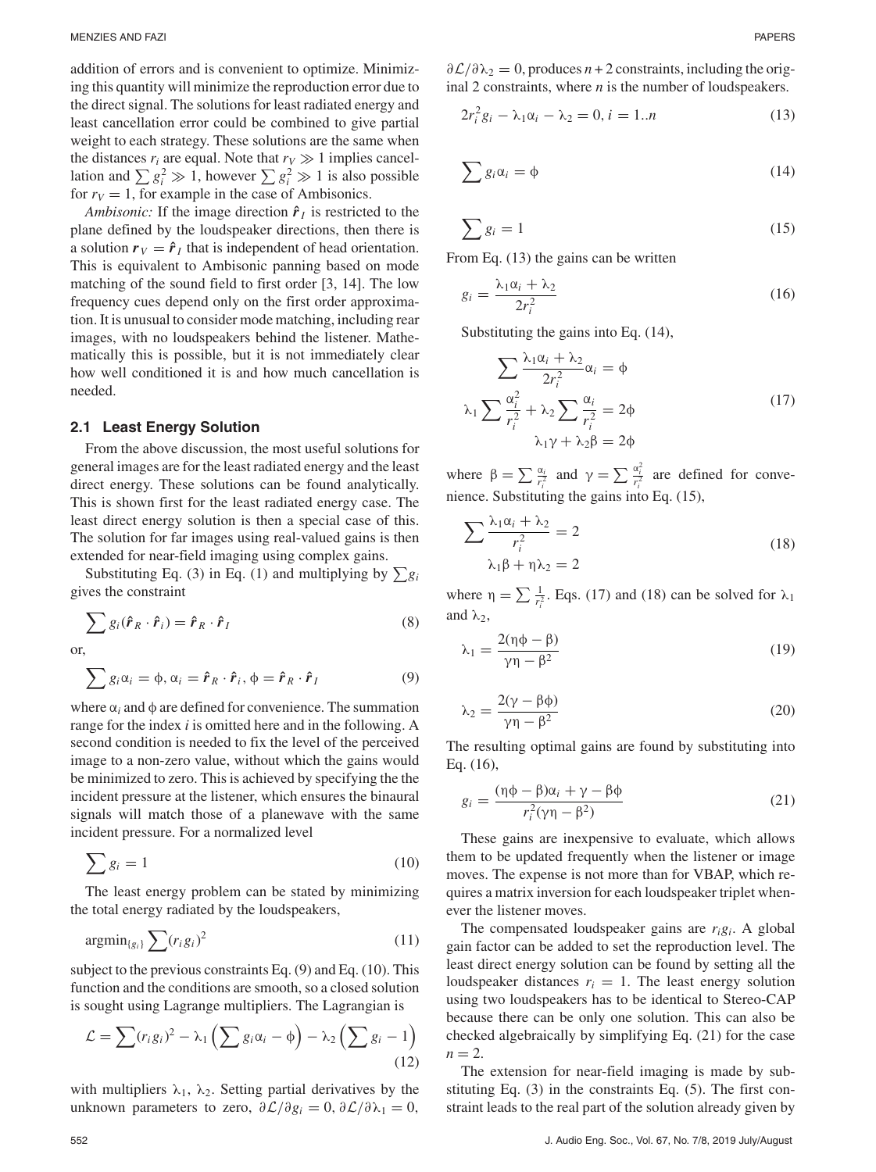addition of errors and is convenient to optimize. Minimizing this quantity will minimize the reproduction error due to the direct signal. The solutions for least radiated energy and least cancellation error could be combined to give partial weight to each strategy. These solutions are the same when the distances  $r_i$  are equal. Note that  $r_V \gg 1$  implies cancellation and  $\sum g_i^2 \gg 1$ , however  $\sum g_i^2 \gg 1$  is also possible for  $r_V = 1$ , for example in the case of Ambisonics.

*Ambisonic:* If the image direction  $\hat{r}_I$  is restricted to the plane defined by the loudspeaker directions, then there is a solution  $r_V = \hat{r}_I$  that is independent of head orientation. This is equivalent to Ambisonic panning based on mode matching of the sound field to first order [3, 14]. The low frequency cues depend only on the first order approximation. It is unusual to consider mode matching, including rear images, with no loudspeakers behind the listener. Mathematically this is possible, but it is not immediately clear how well conditioned it is and how much cancellation is needed.

#### **2.1 Least Energy Solution**

From the above discussion, the most useful solutions for general images are for the least radiated energy and the least direct energy. These solutions can be found analytically. This is shown first for the least radiated energy case. The least direct energy solution is then a special case of this. The solution for far images using real-valued gains is then extended for near-field imaging using complex gains.

Substituting Eq. (3) in Eq. (1) and multiplying by  $\sum g_i$ gives the constraint

$$
\sum g_i(\hat{\boldsymbol{r}}_R \cdot \hat{\boldsymbol{r}}_i) = \hat{\boldsymbol{r}}_R \cdot \hat{\boldsymbol{r}}_I \tag{8}
$$

or,

$$
\sum g_i \alpha_i = \phi, \alpha_i = \hat{\boldsymbol{r}}_R \cdot \hat{\boldsymbol{r}}_i, \phi = \hat{\boldsymbol{r}}_R \cdot \hat{\boldsymbol{r}}_I \tag{9}
$$

where  $\alpha_i$  and  $\phi$  are defined for convenience. The summation range for the index *i* is omitted here and in the following. A second condition is needed to fix the level of the perceived image to a non-zero value, without which the gains would be minimized to zero. This is achieved by specifying the the incident pressure at the listener, which ensures the binaural signals will match those of a planewave with the same incident pressure. For a normalized level

$$
\sum g_i = 1 \tag{10}
$$

The least energy problem can be stated by minimizing the total energy radiated by the loudspeakers,

$$
\operatorname{argmin}_{\{g_i\}} \sum (r_i g_i)^2 \tag{11}
$$

subject to the previous constraints Eq. (9) and Eq. (10). This function and the conditions are smooth, so a closed solution is sought using Lagrange multipliers. The Lagrangian is

$$
\mathcal{L} = \sum (r_i g_i)^2 - \lambda_1 \left( \sum g_i \alpha_i - \phi \right) - \lambda_2 \left( \sum g_i - 1 \right)
$$
\n(12)

with multipliers  $\lambda_1$ ,  $\lambda_2$ . Setting partial derivatives by the unknown parameters to zero,  $\partial \mathcal{L}/\partial g_i = 0$ ,  $\partial \mathcal{L}/\partial \lambda_1 = 0$ ,

 $\partial \mathcal{L}/\partial \lambda_2 = 0$ , produces *n* + 2 constraints, including the original 2 constraints, where *n* is the number of loudspeakers.

$$
2r_i^2 g_i - \lambda_1 \alpha_i - \lambda_2 = 0, i = 1..n
$$
 (13)

$$
\sum g_i \alpha_i = \phi \tag{14}
$$

$$
\sum g_i = 1 \tag{15}
$$

From Eq. (13) the gains can be written

$$
g_i = \frac{\lambda_1 \alpha_i + \lambda_2}{2r_i^2} \tag{16}
$$

Substituting the gains into Eq. (14),

$$
\sum \frac{\lambda_1 \alpha_i + \lambda_2}{2r_i^2} \alpha_i = \phi
$$
  

$$
\lambda_1 \sum \frac{\alpha_i^2}{r_i^2} + \lambda_2 \sum \frac{\alpha_i}{r_i^2} = 2\phi
$$
  

$$
\lambda_1 \gamma + \lambda_2 \beta = 2\phi
$$
 (17)

where  $\beta = \sum_{r_i^2} \frac{\alpha_i}{r_i^2}$  and  $\gamma = \sum_{r_i^2} \frac{\alpha_i^2}{r_i^2}$  are defined for convenience. Substituting the gains into Eq. (15),

$$
\sum \frac{\lambda_1 \alpha_i + \lambda_2}{r_i^2} = 2
$$
  
 
$$
\lambda_1 \beta + \eta \lambda_2 = 2
$$
 (18)

where  $\eta = \sum_{i} \frac{1}{r_i^2}$ . Eqs. (17) and (18) can be solved for  $\lambda_1$ and  $\lambda_2$ ,

$$
\lambda_1 = \frac{2(\eta \phi - \beta)}{\gamma \eta - \beta^2} \tag{19}
$$

$$
\lambda_2 = \frac{2(\gamma - \beta \phi)}{\gamma \eta - \beta^2} \tag{20}
$$

The resulting optimal gains are found by substituting into Eq. (16),

$$
g_i = \frac{(\eta \phi - \beta)\alpha_i + \gamma - \beta \phi}{r_i^2(\gamma \eta - \beta^2)}
$$
(21)

These gains are inexpensive to evaluate, which allows them to be updated frequently when the listener or image moves. The expense is not more than for VBAP, which requires a matrix inversion for each loudspeaker triplet whenever the listener moves.

The compensated loudspeaker gains are *rigi*. A global gain factor can be added to set the reproduction level. The least direct energy solution can be found by setting all the loudspeaker distances  $r_i = 1$ . The least energy solution using two loudspeakers has to be identical to Stereo-CAP because there can be only one solution. This can also be checked algebraically by simplifying Eq. (21) for the case  $n = 2$ .

The extension for near-field imaging is made by substituting Eq. (3) in the constraints Eq. (5). The first constraint leads to the real part of the solution already given by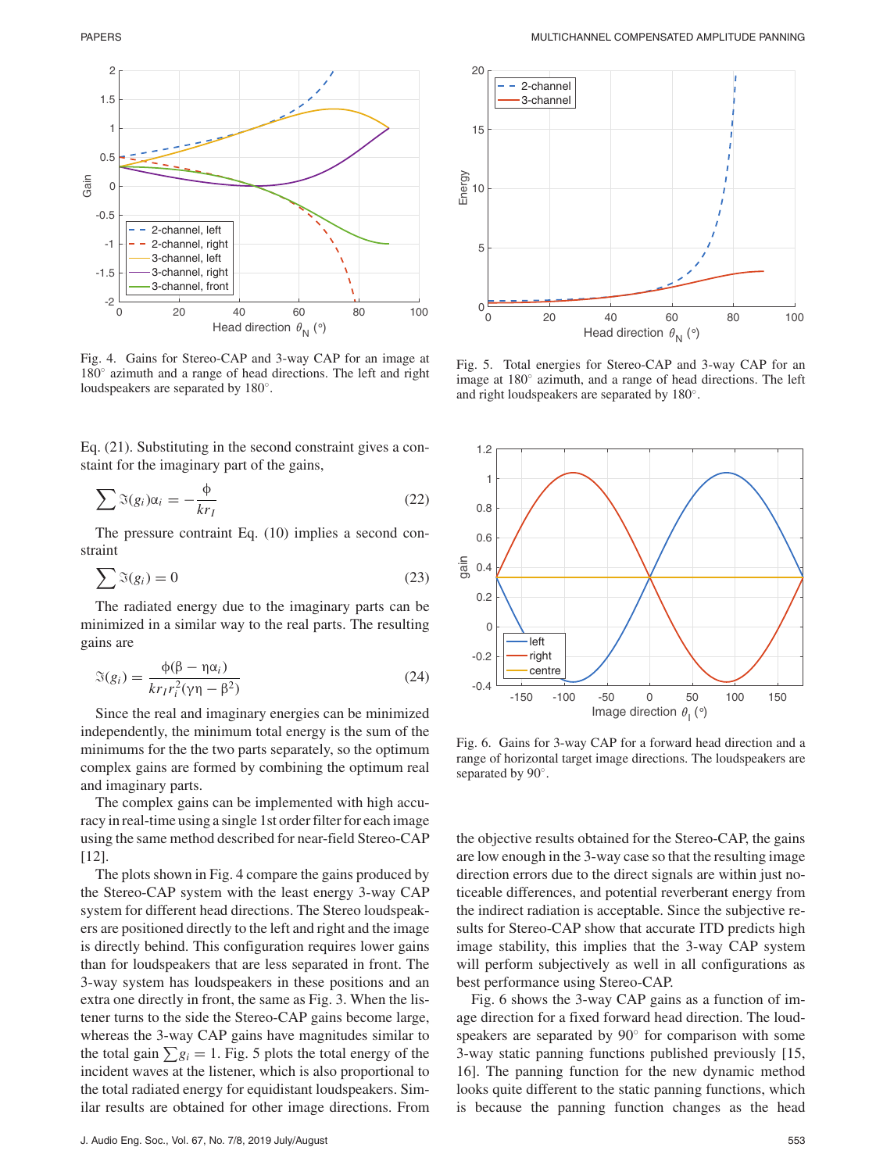

Fig. 4. Gains for Stereo-CAP and 3-way CAP for an image at 180◦ azimuth and a range of head directions. The left and right loudspeakers are separated by 180◦.

Eq. (21). Substituting in the second constraint gives a constaint for the imaginary part of the gains,

$$
\sum \Im(g_i)\alpha_i = -\frac{\phi}{kr_I} \tag{22}
$$

The pressure contraint Eq. (10) implies a second constraint

$$
\sum \Im(g_i) = 0 \tag{23}
$$

The radiated energy due to the imaginary parts can be minimized in a similar way to the real parts. The resulting gains are

$$
\mathfrak{F}(g_i) = \frac{\phi(\beta - \eta \alpha_i)}{kr_I r_i^2 (\gamma \eta - \beta^2)}
$$
(24)

Since the real and imaginary energies can be minimized independently, the minimum total energy is the sum of the minimums for the the two parts separately, so the optimum complex gains are formed by combining the optimum real and imaginary parts.

The complex gains can be implemented with high accuracy in real-time using a single 1st order filter for each image using the same method described for near-field Stereo-CAP [12].

The plots shown in Fig. 4 compare the gains produced by the Stereo-CAP system with the least energy 3-way CAP system for different head directions. The Stereo loudspeakers are positioned directly to the left and right and the image is directly behind. This configuration requires lower gains than for loudspeakers that are less separated in front. The 3-way system has loudspeakers in these positions and an extra one directly in front, the same as Fig. 3. When the listener turns to the side the Stereo-CAP gains become large, whereas the 3-way CAP gains have magnitudes similar to the total gain  $\sum g_i = 1$ . Fig. 5 plots the total energy of the incident waves at the listener, which is also proportional to the total radiated energy for equidistant loudspeakers. Similar results are obtained for other image directions. From



Fig. 5. Total energies for Stereo-CAP and 3-way CAP for an image at 180◦ azimuth, and a range of head directions. The left and right loudspeakers are separated by 180◦.



Fig. 6. Gains for 3-way CAP for a forward head direction and a range of horizontal target image directions. The loudspeakers are separated by 90<sup>°</sup>.

the objective results obtained for the Stereo-CAP, the gains are low enough in the 3-way case so that the resulting image direction errors due to the direct signals are within just noticeable differences, and potential reverberant energy from the indirect radiation is acceptable. Since the subjective results for Stereo-CAP show that accurate ITD predicts high image stability, this implies that the 3-way CAP system will perform subjectively as well in all configurations as best performance using Stereo-CAP.

Fig. 6 shows the 3-way CAP gains as a function of image direction for a fixed forward head direction. The loudspeakers are separated by 90◦ for comparison with some 3-way static panning functions published previously [15, 16]. The panning function for the new dynamic method looks quite different to the static panning functions, which is because the panning function changes as the head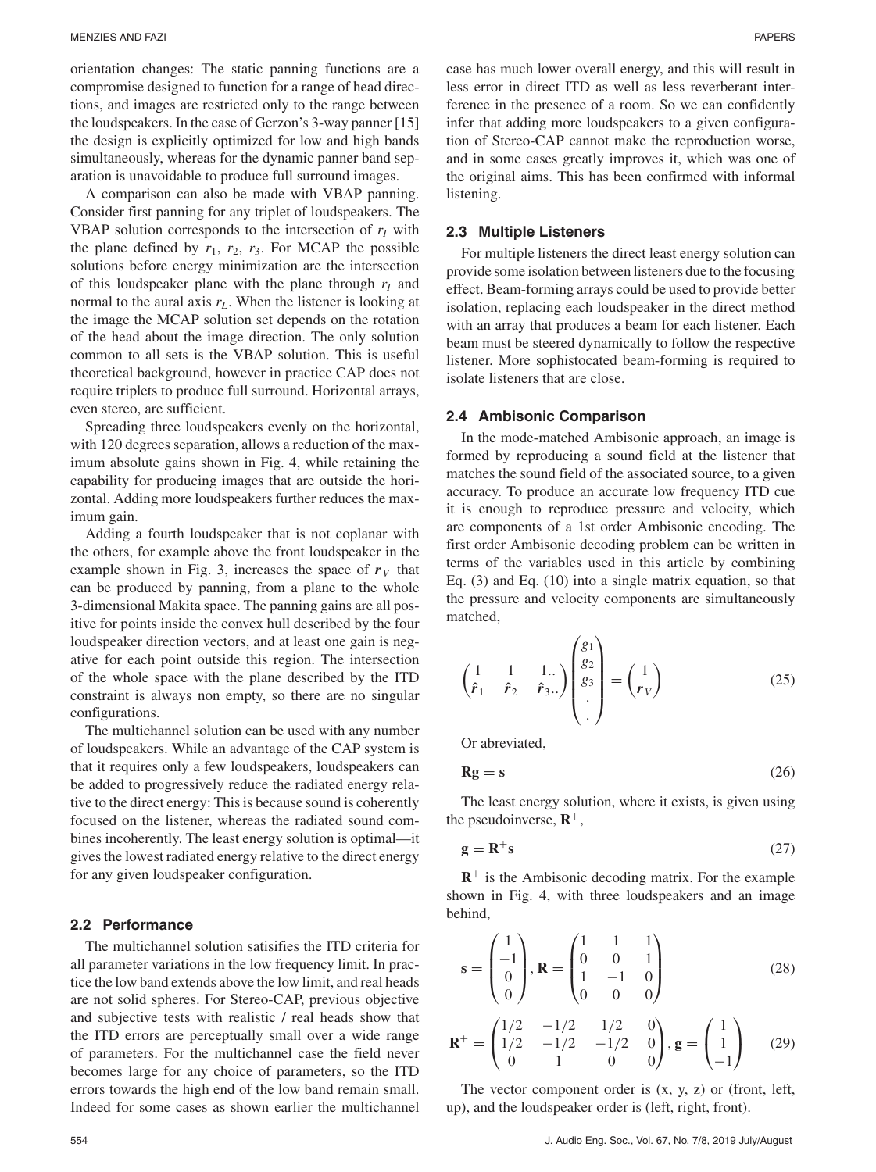orientation changes: The static panning functions are a compromise designed to function for a range of head directions, and images are restricted only to the range between the loudspeakers. In the case of Gerzon's 3-way panner [15] the design is explicitly optimized for low and high bands simultaneously, whereas for the dynamic panner band separation is unavoidable to produce full surround images.

A comparison can also be made with VBAP panning. Consider first panning for any triplet of loudspeakers. The VBAP solution corresponds to the intersection of  $r_I$  with the plane defined by  $r_1$ ,  $r_2$ ,  $r_3$ . For MCAP the possible solutions before energy minimization are the intersection of this loudspeaker plane with the plane through  $r_I$  and normal to the aural axis  $r<sub>L</sub>$ . When the listener is looking at the image the MCAP solution set depends on the rotation of the head about the image direction. The only solution common to all sets is the VBAP solution. This is useful theoretical background, however in practice CAP does not require triplets to produce full surround. Horizontal arrays, even stereo, are sufficient.

Spreading three loudspeakers evenly on the horizontal, with 120 degrees separation, allows a reduction of the maximum absolute gains shown in Fig. 4, while retaining the capability for producing images that are outside the horizontal. Adding more loudspeakers further reduces the maximum gain.

Adding a fourth loudspeaker that is not coplanar with the others, for example above the front loudspeaker in the example shown in Fig. 3, increases the space of  $r<sub>V</sub>$  that can be produced by panning, from a plane to the whole 3-dimensional Makita space. The panning gains are all positive for points inside the convex hull described by the four loudspeaker direction vectors, and at least one gain is negative for each point outside this region. The intersection of the whole space with the plane described by the ITD constraint is always non empty, so there are no singular configurations.

The multichannel solution can be used with any number of loudspeakers. While an advantage of the CAP system is that it requires only a few loudspeakers, loudspeakers can be added to progressively reduce the radiated energy relative to the direct energy: This is because sound is coherently focused on the listener, whereas the radiated sound combines incoherently. The least energy solution is optimal—it gives the lowest radiated energy relative to the direct energy for any given loudspeaker configuration.

#### **2.2 Performance**

The multichannel solution satisifies the ITD criteria for all parameter variations in the low frequency limit. In practice the low band extends above the low limit, and real heads are not solid spheres. For Stereo-CAP, previous objective and subjective tests with realistic / real heads show that the ITD errors are perceptually small over a wide range of parameters. For the multichannel case the field never becomes large for any choice of parameters, so the ITD errors towards the high end of the low band remain small. Indeed for some cases as shown earlier the multichannel case has much lower overall energy, and this will result in less error in direct ITD as well as less reverberant interference in the presence of a room. So we can confidently infer that adding more loudspeakers to a given configuration of Stereo-CAP cannot make the reproduction worse, and in some cases greatly improves it, which was one of the original aims. This has been confirmed with informal listening.

#### **2.3 Multiple Listeners**

For multiple listeners the direct least energy solution can provide some isolation between listeners due to the focusing effect. Beam-forming arrays could be used to provide better isolation, replacing each loudspeaker in the direct method with an array that produces a beam for each listener. Each beam must be steered dynamically to follow the respective listener. More sophistocated beam-forming is required to isolate listeners that are close.

#### **2.4 Ambisonic Comparison**

In the mode-matched Ambisonic approach, an image is formed by reproducing a sound field at the listener that matches the sound field of the associated source, to a given accuracy. To produce an accurate low frequency ITD cue it is enough to reproduce pressure and velocity, which are components of a 1st order Ambisonic encoding. The first order Ambisonic decoding problem can be written in terms of the variables used in this article by combining Eq. (3) and Eq. (10) into a single matrix equation, so that the pressure and velocity components are simultaneously matched,

$$
\begin{pmatrix}\n1 & 1 & 1 \\
\hat{r}_1 & \hat{r}_2 & \hat{r}_3\n\end{pmatrix}\n\begin{pmatrix}\ng_1 \\
g_2 \\
g_3 \\
\vdots\n\end{pmatrix} =\n\begin{pmatrix}\n1 \\
r_V\n\end{pmatrix}
$$
\n(25)

Or abreviated,

$$
\mathbf{R}\mathbf{g} = \mathbf{s} \tag{26}
$$

The least energy solution, where it exists, is given using the pseudoinverse,  $\mathbf{R}^+$ ,

$$
\mathbf{g} = \mathbf{R}^+ \mathbf{s} \tag{27}
$$

 $\mathbb{R}^+$  is the Ambisonic decoding matrix. For the example shown in Fig. 4, with three loudspeakers and an image behind,

$$
\mathbf{s} = \begin{pmatrix} 1 \\ -1 \\ 0 \\ 0 \end{pmatrix}, \mathbf{R} = \begin{pmatrix} 1 & 1 & 1 \\ 0 & 0 & 1 \\ 1 & -1 & 0 \\ 0 & 0 & 0 \end{pmatrix}
$$
(28)

$$
\mathbf{R}^{+} = \begin{pmatrix} 1/2 & -1/2 & 1/2 & 0 \\ 1/2 & -1/2 & -1/2 & 0 \\ 0 & 1 & 0 & 0 \end{pmatrix}, \mathbf{g} = \begin{pmatrix} 1 \\ 1 \\ -1 \end{pmatrix} \tag{29}
$$

The vector component order is (x, y, z) or (front, left, up), and the loudspeaker order is (left, right, front).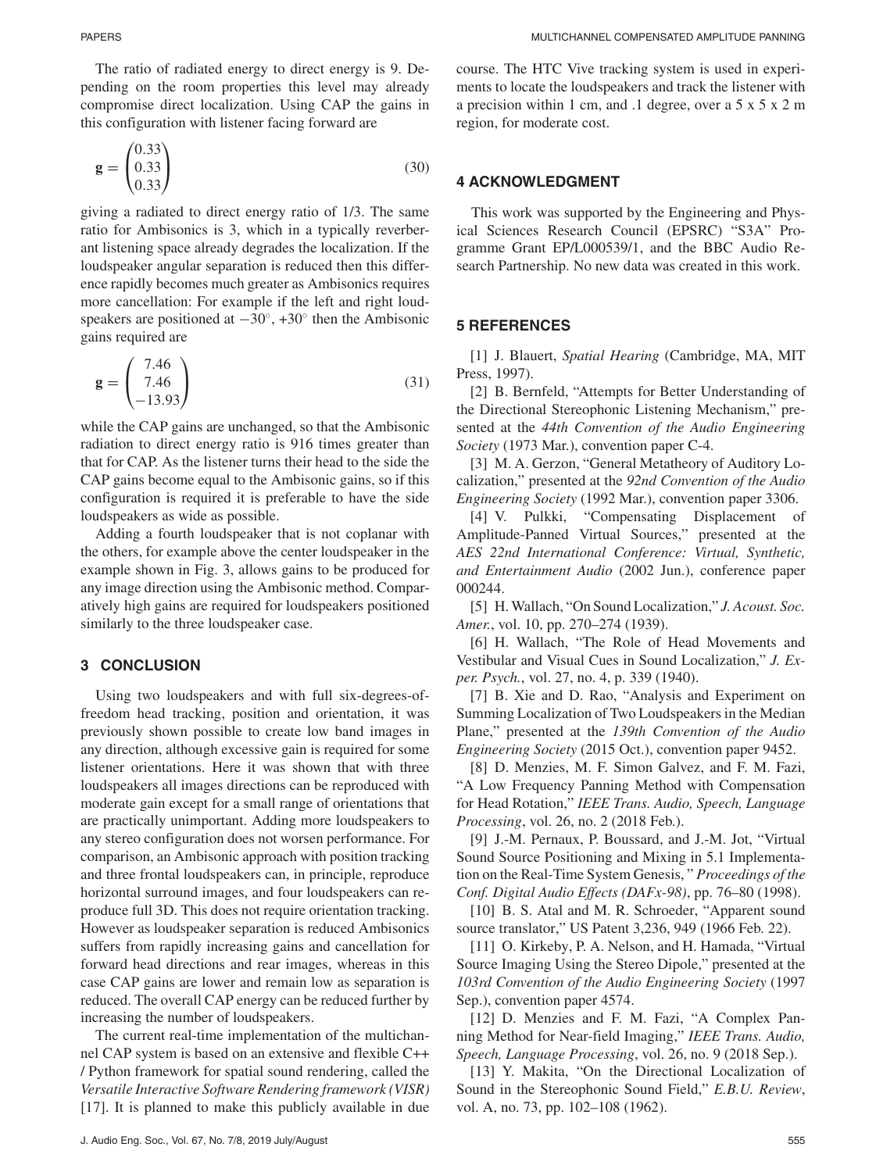The ratio of radiated energy to direct energy is 9. Depending on the room properties this level may already compromise direct localization. Using CAP the gains in this configuration with listener facing forward are

$$
\mathbf{g} = \begin{pmatrix} 0.33 \\ 0.33 \\ 0.33 \end{pmatrix} \tag{30}
$$

giving a radiated to direct energy ratio of 1/3. The same ratio for Ambisonics is 3, which in a typically reverberant listening space already degrades the localization. If the loudspeaker angular separation is reduced then this difference rapidly becomes much greater as Ambisonics requires more cancellation: For example if the left and right loudspeakers are positioned at  $-30^\circ$ ,  $+30^\circ$  then the Ambisonic gains required are

$$
\mathbf{g} = \begin{pmatrix} 7.46 \\ 7.46 \\ -13.93 \end{pmatrix} \tag{31}
$$

while the CAP gains are unchanged, so that the Ambisonic radiation to direct energy ratio is 916 times greater than that for CAP. As the listener turns their head to the side the CAP gains become equal to the Ambisonic gains, so if this configuration is required it is preferable to have the side loudspeakers as wide as possible.

Adding a fourth loudspeaker that is not coplanar with the others, for example above the center loudspeaker in the example shown in Fig. 3, allows gains to be produced for any image direction using the Ambisonic method. Comparatively high gains are required for loudspeakers positioned similarly to the three loudspeaker case.

### **3 CONCLUSION**

Using two loudspeakers and with full six-degrees-offreedom head tracking, position and orientation, it was previously shown possible to create low band images in any direction, although excessive gain is required for some listener orientations. Here it was shown that with three loudspeakers all images directions can be reproduced with moderate gain except for a small range of orientations that are practically unimportant. Adding more loudspeakers to any stereo configuration does not worsen performance. For comparison, an Ambisonic approach with position tracking and three frontal loudspeakers can, in principle, reproduce horizontal surround images, and four loudspeakers can reproduce full 3D. This does not require orientation tracking. However as loudspeaker separation is reduced Ambisonics suffers from rapidly increasing gains and cancellation for forward head directions and rear images, whereas in this case CAP gains are lower and remain low as separation is reduced. The overall CAP energy can be reduced further by increasing the number of loudspeakers.

The current real-time implementation of the multichannel CAP system is based on an extensive and flexible C++ / Python framework for spatial sound rendering, called the *Versatile Interactive Software Rendering framework (VISR)* [17]. It is planned to make this publicly available in due course. The HTC Vive tracking system is used in experiments to locate the loudspeakers and track the listener with a precision within 1 cm, and .1 degree, over a 5 x 5 x 2 m region, for moderate cost.

## **4 ACKNOWLEDGMENT**

This work was supported by the Engineering and Physical Sciences Research Council (EPSRC) "S3A" Programme Grant EP/L000539/1, and the BBC Audio Research Partnership. No new data was created in this work.

## **5 REFERENCES**

[1] J. Blauert, *Spatial Hearing* (Cambridge, MA, MIT Press, 1997).

[2] B. Bernfeld, "Attempts for Better Understanding of the Directional Stereophonic Listening Mechanism," presented at the *44th Convention of the Audio Engineering Society* (1973 Mar.), convention paper C-4.

[3] M. A. Gerzon, "General Metatheory of Auditory Localization," presented at the *92nd Convention of the Audio Engineering Society* (1992 Mar.), convention paper 3306.

[4] V. Pulkki, "Compensating Displacement of Amplitude-Panned Virtual Sources," presented at the *AES 22nd International Conference: Virtual, Synthetic, and Entertainment Audio* (2002 Jun.), conference paper 000244.

[5] H. Wallach, "On Sound Localization," *J. Acoust. Soc. Amer.*, vol. 10, pp. 270–274 (1939).

[6] H. Wallach, "The Role of Head Movements and Vestibular and Visual Cues in Sound Localization," *J. Exper. Psych.*, vol. 27, no. 4, p. 339 (1940).

[7] B. Xie and D. Rao, "Analysis and Experiment on Summing Localization of Two Loudspeakers in the Median Plane," presented at the *139th Convention of the Audio Engineering Society* (2015 Oct.), convention paper 9452.

[8] D. Menzies, M. F. Simon Galvez, and F. M. Fazi, "A Low Frequency Panning Method with Compensation for Head Rotation," *IEEE Trans. Audio, Speech, Language Processing*, vol. 26, no. 2 (2018 Feb.).

[9] J.-M. Pernaux, P. Boussard, and J.-M. Jot, "Virtual Sound Source Positioning and Mixing in 5.1 Implementation on the Real-Time System Genesis, " *Proceedings of the Conf. Digital Audio Effects (DAFx-98)*, pp. 76–80 (1998).

[10] B. S. Atal and M. R. Schroeder, "Apparent sound source translator," US Patent 3,236, 949 (1966 Feb. 22).

[11] O. Kirkeby, P. A. Nelson, and H. Hamada, "Virtual Source Imaging Using the Stereo Dipole," presented at the *103rd Convention of the Audio Engineering Society* (1997 Sep.), convention paper 4574.

[12] D. Menzies and F. M. Fazi, "A Complex Panning Method for Near-field Imaging," *IEEE Trans. Audio, Speech, Language Processing*, vol. 26, no. 9 (2018 Sep.).

[13] Y. Makita, "On the Directional Localization of Sound in the Stereophonic Sound Field," *E.B.U. Review*, vol. A, no. 73, pp. 102–108 (1962).